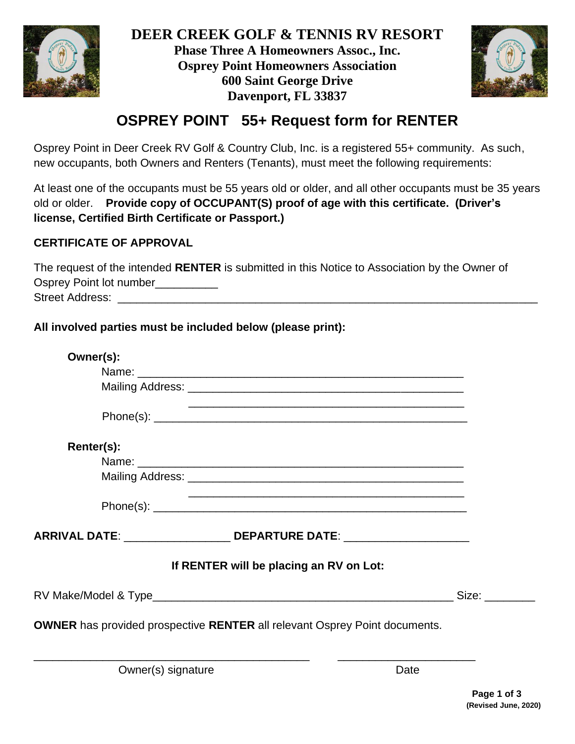



## **OSPREY POINT 55+ Request form for RENTER**

Osprey Point in Deer Creek RV Golf & Country Club, Inc. is a registered 55+ community. As such, new occupants, both Owners and Renters (Tenants), must meet the following requirements:

At least one of the occupants must be 55 years old or older, and all other occupants must be 35 years old or older. **Provide copy of OCCUPANT(S) proof of age with this certificate. (Driver's license, Certified Birth Certificate or Passport.)**

## **CERTIFICATE OF APPROVAL**

The request of the intended **RENTER** is submitted in this Notice to Association by the Owner of Osprey Point lot number\_\_\_\_\_\_\_\_\_\_\_ Street Address: \_\_\_\_\_\_\_\_\_\_\_\_\_\_\_\_\_\_\_\_\_\_\_\_\_\_\_\_\_\_\_\_\_\_\_\_\_\_\_\_\_\_\_\_\_\_\_\_\_\_\_\_\_\_\_\_\_\_\_\_\_\_\_\_\_\_\_

**All involved parties must be included below (please print):**

| Owner(s):  |                                                                                                                       |                                                                                                                                                                                                                                |
|------------|-----------------------------------------------------------------------------------------------------------------------|--------------------------------------------------------------------------------------------------------------------------------------------------------------------------------------------------------------------------------|
|            |                                                                                                                       |                                                                                                                                                                                                                                |
|            |                                                                                                                       |                                                                                                                                                                                                                                |
|            |                                                                                                                       |                                                                                                                                                                                                                                |
| Renter(s): |                                                                                                                       |                                                                                                                                                                                                                                |
|            |                                                                                                                       |                                                                                                                                                                                                                                |
|            |                                                                                                                       |                                                                                                                                                                                                                                |
|            | <u> 1989 - Johann Stoff, deutscher Stoff, der Stoff, der Stoff, der Stoff, der Stoff, der Stoff, der Stoff, der S</u> |                                                                                                                                                                                                                                |
|            | ARRIVAL DATE: ______________________ DEPARTURE DATE: ______________________                                           |                                                                                                                                                                                                                                |
|            | If RENTER will be placing an RV on Lot:                                                                               |                                                                                                                                                                                                                                |
|            |                                                                                                                       | Size: when the set of the set of the set of the set of the set of the set of the set of the set of the set of the set of the set of the set of the set of the set of the set of the set of the set of the set of the set of th |
|            | <b>OWNER</b> has provided prospective RENTER all relevant Osprey Point documents.                                     |                                                                                                                                                                                                                                |
|            |                                                                                                                       |                                                                                                                                                                                                                                |
|            |                                                                                                                       |                                                                                                                                                                                                                                |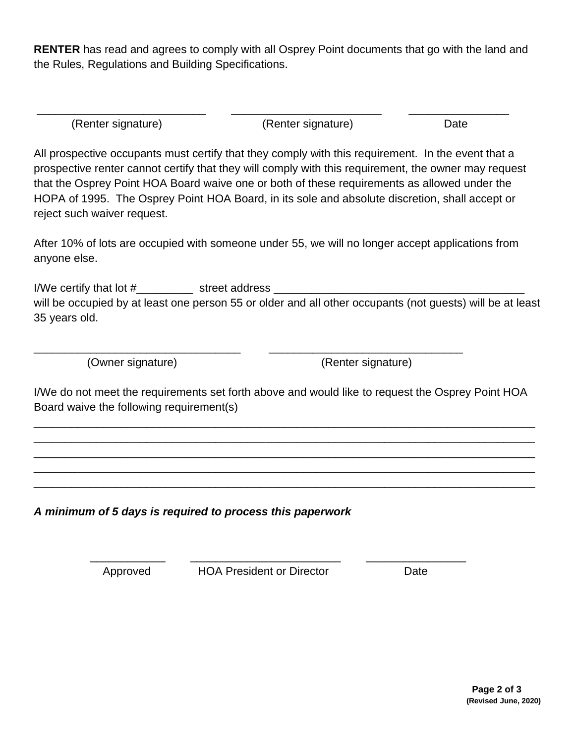**RENTER** has read and agrees to comply with all Osprey Point documents that go with the land and the Rules, Regulations and Building Specifications.

| (Renter signature) | (Renter signature) | Date |
|--------------------|--------------------|------|

All prospective occupants must certify that they comply with this requirement. In the event that a prospective renter cannot certify that they will comply with this requirement, the owner may request that the Osprey Point HOA Board waive one or both of these requirements as allowed under the HOPA of 1995. The Osprey Point HOA Board, in its sole and absolute discretion, shall accept or reject such waiver request.

After 10% of lots are occupied with someone under 55, we will no longer accept applications from anyone else.

I/We certify that lot #\_\_\_\_\_\_\_\_\_\_\_\_\_\_ street address \_\_\_\_\_\_\_\_\_\_\_ will be occupied by at least one person 55 or older and all other occupants (not guests) will be at least 35 years old.

(Owner signature) (Renter signature)

I/We do not meet the requirements set forth above and would like to request the Osprey Point HOA Board waive the following requirement(s)

\_\_\_\_\_\_\_\_\_\_\_\_\_\_\_\_\_\_\_\_\_\_\_\_\_\_\_\_\_\_\_\_\_\_\_\_\_\_\_\_\_\_\_\_\_\_\_\_\_\_\_\_\_\_\_\_\_\_\_\_\_\_\_\_\_\_\_\_\_\_\_\_\_\_\_\_\_\_\_\_ \_\_\_\_\_\_\_\_\_\_\_\_\_\_\_\_\_\_\_\_\_\_\_\_\_\_\_\_\_\_\_\_\_\_\_\_\_\_\_\_\_\_\_\_\_\_\_\_\_\_\_\_\_\_\_\_\_\_\_\_\_\_\_\_\_\_\_\_\_\_\_\_\_\_\_\_\_\_\_\_ \_\_\_\_\_\_\_\_\_\_\_\_\_\_\_\_\_\_\_\_\_\_\_\_\_\_\_\_\_\_\_\_\_\_\_\_\_\_\_\_\_\_\_\_\_\_\_\_\_\_\_\_\_\_\_\_\_\_\_\_\_\_\_\_\_\_\_\_\_\_\_\_\_\_\_\_\_\_\_\_ \_\_\_\_\_\_\_\_\_\_\_\_\_\_\_\_\_\_\_\_\_\_\_\_\_\_\_\_\_\_\_\_\_\_\_\_\_\_\_\_\_\_\_\_\_\_\_\_\_\_\_\_\_\_\_\_\_\_\_\_\_\_\_\_\_\_\_\_\_\_\_\_\_\_\_\_\_\_\_\_ \_\_\_\_\_\_\_\_\_\_\_\_\_\_\_\_\_\_\_\_\_\_\_\_\_\_\_\_\_\_\_\_\_\_\_\_\_\_\_\_\_\_\_\_\_\_\_\_\_\_\_\_\_\_\_\_\_\_\_\_\_\_\_\_\_\_\_\_\_\_\_\_\_\_\_\_\_\_\_\_

\_\_\_\_\_\_\_\_\_\_\_\_\_\_\_\_\_\_\_\_\_\_\_\_\_\_\_\_\_\_\_\_\_ \_\_\_\_\_\_\_\_\_\_\_\_\_\_\_\_\_\_\_\_\_\_\_\_\_\_\_\_\_\_\_

*A minimum of 5 days is required to process this paperwork*

Approved HOA President or Director Date

 $\frac{1}{\sqrt{2}}$  ,  $\frac{1}{\sqrt{2}}$  ,  $\frac{1}{\sqrt{2}}$  ,  $\frac{1}{\sqrt{2}}$  ,  $\frac{1}{\sqrt{2}}$  ,  $\frac{1}{\sqrt{2}}$  ,  $\frac{1}{\sqrt{2}}$  ,  $\frac{1}{\sqrt{2}}$  ,  $\frac{1}{\sqrt{2}}$  ,  $\frac{1}{\sqrt{2}}$  ,  $\frac{1}{\sqrt{2}}$  ,  $\frac{1}{\sqrt{2}}$  ,  $\frac{1}{\sqrt{2}}$  ,  $\frac{1}{\sqrt{2}}$  ,  $\frac{1}{\sqrt{2}}$